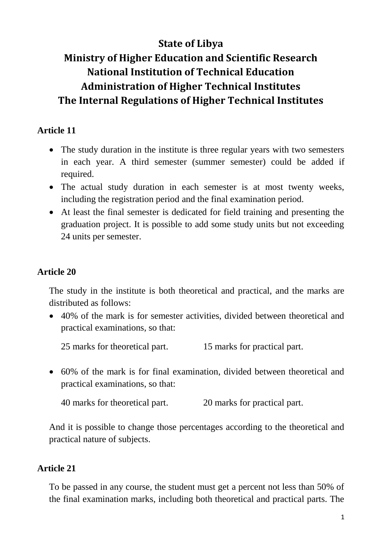# **State of Libya**

# **Ministry of Higher Education and Scientific Research National Institution of Technical Education Administration of Higher Technical Institutes The Internal Regulations of Higher Technical Institutes**

# **Article 11**

- The study duration in the institute is three regular years with two semesters in each year. A third semester (summer semester) could be added if required.
- The actual study duration in each semester is at most twenty weeks, including the registration period and the final examination period.
- At least the final semester is dedicated for field training and presenting the graduation project. It is possible to add some study units but not exceeding 24 units per semester.

#### **Article 20**

The study in the institute is both theoretical and practical, and the marks are distributed as follows:

 40% of the mark is for semester activities, divided between theoretical and practical examinations, so that:

25 marks for theoretical part. 15 marks for practical part.

 60% of the mark is for final examination, divided between theoretical and practical examinations, so that:

40 marks for theoretical part. 20 marks for practical part.

And it is possible to change those percentages according to the theoretical and practical nature of subjects.

#### **Article 21**

To be passed in any course, the student must get a percent not less than 50% of the final examination marks, including both theoretical and practical parts. The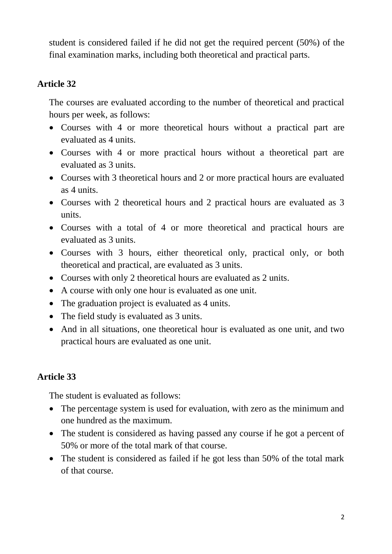student is considered failed if he did not get the required percent (50%) of the final examination marks, including both theoretical and practical parts.

#### **Article 32**

The courses are evaluated according to the number of theoretical and practical hours per week, as follows:

- Courses with 4 or more theoretical hours without a practical part are evaluated as 4 units.
- Courses with 4 or more practical hours without a theoretical part are evaluated as 3 units.
- Courses with 3 theoretical hours and 2 or more practical hours are evaluated as 4 units.
- Courses with 2 theoretical hours and 2 practical hours are evaluated as 3 units.
- Courses with a total of 4 or more theoretical and practical hours are evaluated as 3 units.
- Courses with 3 hours, either theoretical only, practical only, or both theoretical and practical, are evaluated as 3 units.
- Courses with only 2 theoretical hours are evaluated as 2 units.
- A course with only one hour is evaluated as one unit.
- The graduation project is evaluated as 4 units.
- The field study is evaluated as 3 units.
- And in all situations, one theoretical hour is evaluated as one unit, and two practical hours are evaluated as one unit.

#### **Article 33**

The student is evaluated as follows:

- The percentage system is used for evaluation, with zero as the minimum and one hundred as the maximum.
- The student is considered as having passed any course if he got a percent of 50% or more of the total mark of that course.
- The student is considered as failed if he got less than 50% of the total mark of that course.